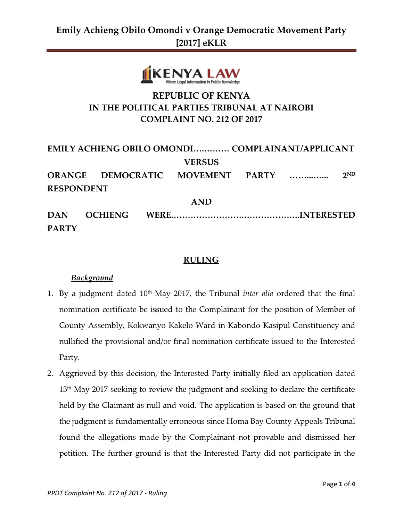

## **REPUBLIC OF KENYA IN THE POLITICAL PARTIES TRIBUNAL AT NAIROBI COMPLAINT NO. 212 OF 2017**

| EMILY ACHIENG OBILO OMONDI COMPLAINANT/APPLICANT |                |  |  |  |  |                 |
|--------------------------------------------------|----------------|--|--|--|--|-----------------|
| <b>VERSUS</b>                                    |                |  |  |  |  |                 |
| ORANGE DEMOCRATIC MOVEMENT PARTY                 |                |  |  |  |  | 2 <sub>ND</sub> |
| <b>RESPONDENT</b>                                |                |  |  |  |  |                 |
| <b>AND</b>                                       |                |  |  |  |  |                 |
| <b>DAN</b>                                       | <b>OCHIENG</b> |  |  |  |  |                 |
| <b>PARTY</b>                                     |                |  |  |  |  |                 |

### **RULING**

### *Background*

- 1. By a judgment dated 10th May 2017, the Tribunal *inter alia* ordered that the final nomination certificate be issued to the Complainant for the position of Member of County Assembly, Kokwanyo Kakelo Ward in Kabondo Kasipul Constituency and nullified the provisional and/or final nomination certificate issued to the Interested Party.
- 2. Aggrieved by this decision, the Interested Party initially filed an application dated  $13<sup>th</sup>$  May 2017 seeking to review the judgment and seeking to declare the certificate held by the Claimant as null and void. The application is based on the ground that the judgment is fundamentally erroneous since Homa Bay County Appeals Tribunal found the allegations made by the Complainant not provable and dismissed her petition. The further ground is that the Interested Party did not participate in the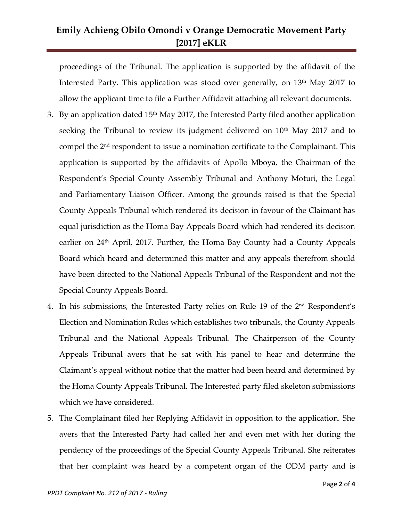## **Emily Achieng Obilo Omondi v Orange Democratic Movement Party [2017] eKLR**

proceedings of the Tribunal. The application is supported by the affidavit of the Interested Party. This application was stood over generally, on 13<sup>th</sup> May 2017 to allow the applicant time to file a Further Affidavit attaching all relevant documents.

- 3. By an application dated  $15<sup>th</sup>$  May 2017, the Interested Party filed another application seeking the Tribunal to review its judgment delivered on  $10<sup>th</sup>$  May 2017 and to compel the 2nd respondent to issue a nomination certificate to the Complainant. This application is supported by the affidavits of Apollo Mboya, the Chairman of the Respondent's Special County Assembly Tribunal and Anthony Moturi, the Legal and Parliamentary Liaison Officer. Among the grounds raised is that the Special County Appeals Tribunal which rendered its decision in favour of the Claimant has equal jurisdiction as the Homa Bay Appeals Board which had rendered its decision earlier on 24<sup>th</sup> April, 2017. Further, the Homa Bay County had a County Appeals Board which heard and determined this matter and any appeals therefrom should have been directed to the National Appeals Tribunal of the Respondent and not the Special County Appeals Board.
- 4. In his submissions, the Interested Party relies on Rule 19 of the 2<sup>nd</sup> Respondent's Election and Nomination Rules which establishes two tribunals, the County Appeals Tribunal and the National Appeals Tribunal. The Chairperson of the County Appeals Tribunal avers that he sat with his panel to hear and determine the Claimant's appeal without notice that the matter had been heard and determined by the Homa County Appeals Tribunal. The Interested party filed skeleton submissions which we have considered.
- 5. The Complainant filed her Replying Affidavit in opposition to the application. She avers that the Interested Party had called her and even met with her during the pendency of the proceedings of the Special County Appeals Tribunal. She reiterates that her complaint was heard by a competent organ of the ODM party and is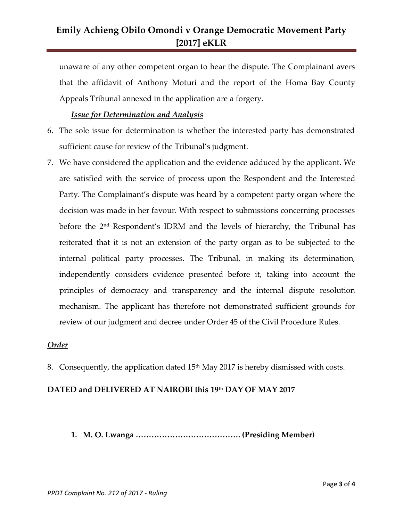## **Emily Achieng Obilo Omondi v Orange Democratic Movement Party [2017] eKLR**

unaware of any other competent organ to hear the dispute. The Complainant avers that the affidavit of Anthony Moturi and the report of the Homa Bay County Appeals Tribunal annexed in the application are a forgery.

#### *Issue for Determination and Analysis*

- 6. The sole issue for determination is whether the interested party has demonstrated sufficient cause for review of the Tribunal's judgment.
- 7. We have considered the application and the evidence adduced by the applicant. We are satisfied with the service of process upon the Respondent and the Interested Party. The Complainant's dispute was heard by a competent party organ where the decision was made in her favour. With respect to submissions concerning processes before the 2<sup>nd</sup> Respondent's IDRM and the levels of hierarchy, the Tribunal has reiterated that it is not an extension of the party organ as to be subjected to the internal political party processes. The Tribunal, in making its determination, independently considers evidence presented before it, taking into account the principles of democracy and transparency and the internal dispute resolution mechanism. The applicant has therefore not demonstrated sufficient grounds for review of our judgment and decree under Order 45 of the Civil Procedure Rules.

#### *Order*

8. Consequently, the application dated 15<sup>th</sup> May 2017 is hereby dismissed with costs.

### **DATED and DELIVERED AT NAIROBI this 19th DAY OF MAY 2017**

**1. M. O. Lwanga …………………………………. (Presiding Member)**